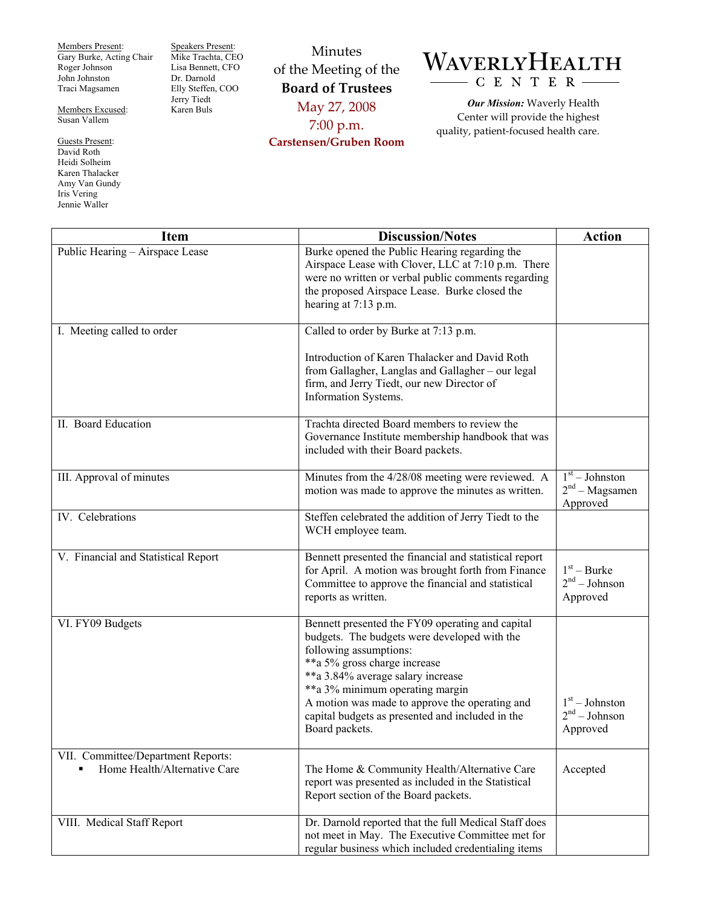Members Present: Gary Burke, Acting Chair Roger Johnson John Johnston Traci Magsamen

Members Excused: Susan Vallem

Guests Present: David Roth Heidi Solheim Karen Thalacker Amy Van Gundy Iris Vering Jennie Waller

Speakers Present: Mike Trachta, CEO Lisa Bennett, CFO Dr. Darnold Elly Steffen, COO Jerry Tiedt Karen Buls

## Minutes of the Meeting of the **Board of Trustees**  May 27, 2008 7:00 p.m. **Carstensen/Gruben Room**



*Our Mission:* Waverly Health Center will provide the highest quality, patient-focused health care.

| <b>Item</b>                                                        | <b>Discussion/Notes</b>                                                                                                                                                                                                                                                                                                                                    | <b>Action</b>                                    |
|--------------------------------------------------------------------|------------------------------------------------------------------------------------------------------------------------------------------------------------------------------------------------------------------------------------------------------------------------------------------------------------------------------------------------------------|--------------------------------------------------|
| Public Hearing - Airspace Lease                                    | Burke opened the Public Hearing regarding the<br>Airspace Lease with Clover, LLC at 7:10 p.m. There<br>were no written or verbal public comments regarding<br>the proposed Airspace Lease. Burke closed the<br>hearing at 7:13 p.m.                                                                                                                        |                                                  |
| I. Meeting called to order                                         | Called to order by Burke at 7:13 p.m.                                                                                                                                                                                                                                                                                                                      |                                                  |
|                                                                    | Introduction of Karen Thalacker and David Roth<br>from Gallagher, Langlas and Gallagher – our legal<br>firm, and Jerry Tiedt, our new Director of<br>Information Systems.                                                                                                                                                                                  |                                                  |
| II. Board Education                                                | Trachta directed Board members to review the<br>Governance Institute membership handbook that was<br>included with their Board packets.                                                                                                                                                                                                                    |                                                  |
| III. Approval of minutes                                           | Minutes from the 4/28/08 meeting were reviewed. A<br>motion was made to approve the minutes as written.                                                                                                                                                                                                                                                    | $1st - Johnston$<br>$2nd - Magsamen$<br>Approved |
| IV. Celebrations                                                   | Steffen celebrated the addition of Jerry Tiedt to the<br>WCH employee team.                                                                                                                                                                                                                                                                                |                                                  |
| V. Financial and Statistical Report                                | Bennett presented the financial and statistical report<br>for April. A motion was brought forth from Finance<br>Committee to approve the financial and statistical<br>reports as written.                                                                                                                                                                  | $1st - Burke$<br>$2nd - Johnson$<br>Approved     |
| VI. FY09 Budgets                                                   | Bennett presented the FY09 operating and capital<br>budgets. The budgets were developed with the<br>following assumptions:<br>**a 5% gross charge increase<br>**a 3.84% average salary increase<br>**a 3% minimum operating margin<br>A motion was made to approve the operating and<br>capital budgets as presented and included in the<br>Board packets. | $1st - Johnston$<br>$2nd - Johnson$<br>Approved  |
| VII. Committee/Department Reports:<br>Home Health/Alternative Care | The Home & Community Health/Alternative Care<br>report was presented as included in the Statistical<br>Report section of the Board packets.                                                                                                                                                                                                                | Accepted                                         |
| VIII. Medical Staff Report                                         | Dr. Darnold reported that the full Medical Staff does<br>not meet in May. The Executive Committee met for<br>regular business which included credentialing items                                                                                                                                                                                           |                                                  |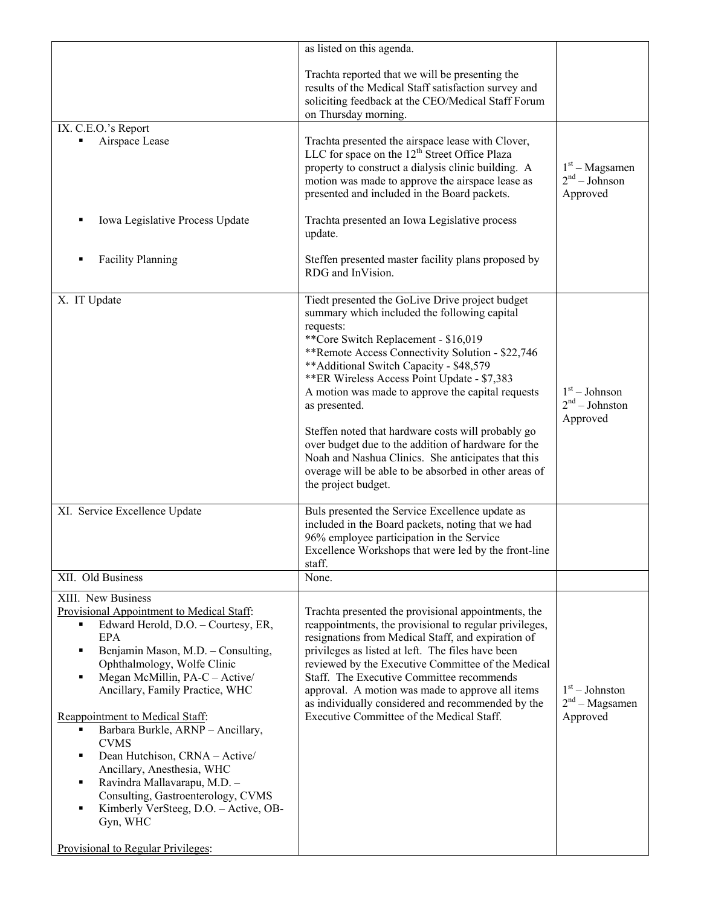|                                                                                                                                                                                                                                                                                                                                                                                                                                                                                                                                                                                                                              | as listed on this agenda.                                                                                                                                                                                                                                                                                                                                                                                                                                                                                                                                                                                                                                                      |                                                           |
|------------------------------------------------------------------------------------------------------------------------------------------------------------------------------------------------------------------------------------------------------------------------------------------------------------------------------------------------------------------------------------------------------------------------------------------------------------------------------------------------------------------------------------------------------------------------------------------------------------------------------|--------------------------------------------------------------------------------------------------------------------------------------------------------------------------------------------------------------------------------------------------------------------------------------------------------------------------------------------------------------------------------------------------------------------------------------------------------------------------------------------------------------------------------------------------------------------------------------------------------------------------------------------------------------------------------|-----------------------------------------------------------|
|                                                                                                                                                                                                                                                                                                                                                                                                                                                                                                                                                                                                                              | Trachta reported that we will be presenting the<br>results of the Medical Staff satisfaction survey and<br>soliciting feedback at the CEO/Medical Staff Forum<br>on Thursday morning.                                                                                                                                                                                                                                                                                                                                                                                                                                                                                          |                                                           |
| IX. C.E.O.'s Report                                                                                                                                                                                                                                                                                                                                                                                                                                                                                                                                                                                                          |                                                                                                                                                                                                                                                                                                                                                                                                                                                                                                                                                                                                                                                                                |                                                           |
| Airspace Lease                                                                                                                                                                                                                                                                                                                                                                                                                                                                                                                                                                                                               | Trachta presented the airspace lease with Clover,<br>LLC for space on the $12th$ Street Office Plaza<br>property to construct a dialysis clinic building. A<br>motion was made to approve the airspace lease as<br>presented and included in the Board packets.                                                                                                                                                                                                                                                                                                                                                                                                                | $1st - Magsamen$<br>2 <sup>nd</sup> – Johnson<br>Approved |
| Iowa Legislative Process Update                                                                                                                                                                                                                                                                                                                                                                                                                                                                                                                                                                                              | Trachta presented an Iowa Legislative process<br>update.                                                                                                                                                                                                                                                                                                                                                                                                                                                                                                                                                                                                                       |                                                           |
| <b>Facility Planning</b>                                                                                                                                                                                                                                                                                                                                                                                                                                                                                                                                                                                                     | Steffen presented master facility plans proposed by<br>RDG and InVision.                                                                                                                                                                                                                                                                                                                                                                                                                                                                                                                                                                                                       |                                                           |
| X. IT Update<br>XI. Service Excellence Update                                                                                                                                                                                                                                                                                                                                                                                                                                                                                                                                                                                | Tiedt presented the GoLive Drive project budget<br>summary which included the following capital<br>requests:<br>**Core Switch Replacement - \$16,019<br>**Remote Access Connectivity Solution - \$22,746<br>**Additional Switch Capacity - \$48,579<br>**ER Wireless Access Point Update - \$7,383<br>A motion was made to approve the capital requests<br>as presented.<br>Steffen noted that hardware costs will probably go<br>over budget due to the addition of hardware for the<br>Noah and Nashua Clinics. She anticipates that this<br>overage will be able to be absorbed in other areas of<br>the project budget.<br>Buls presented the Service Excellence update as | $1st - Johnson$<br>$2nd - Johnston$<br>Approved           |
|                                                                                                                                                                                                                                                                                                                                                                                                                                                                                                                                                                                                                              | included in the Board packets, noting that we had<br>96% employee participation in the Service<br>Excellence Workshops that were led by the front-line<br>staff.                                                                                                                                                                                                                                                                                                                                                                                                                                                                                                               |                                                           |
| XII. Old Business                                                                                                                                                                                                                                                                                                                                                                                                                                                                                                                                                                                                            | None.                                                                                                                                                                                                                                                                                                                                                                                                                                                                                                                                                                                                                                                                          |                                                           |
| XIII. New Business<br>Provisional Appointment to Medical Staff:<br>Edward Herold, D.O. - Courtesy, ER,<br>$\blacksquare$<br><b>EPA</b><br>Benjamin Mason, M.D. - Consulting,<br>٠<br>Ophthalmology, Wolfe Clinic<br>Megan McMillin, PA-C - Active/<br>٠<br>Ancillary, Family Practice, WHC<br>Reappointment to Medical Staff:<br>Barbara Burkle, ARNP - Ancillary,<br><b>CVMS</b><br>Dean Hutchison, CRNA - Active/<br>٠<br>Ancillary, Anesthesia, WHC<br>Ravindra Mallavarapu, M.D. -<br>٠<br>Consulting, Gastroenterology, CVMS<br>Kimberly VerSteeg, D.O. - Active, OB-<br>Gyn, WHC<br>Provisional to Regular Privileges: | Trachta presented the provisional appointments, the<br>reappointments, the provisional to regular privileges,<br>resignations from Medical Staff, and expiration of<br>privileges as listed at left. The files have been<br>reviewed by the Executive Committee of the Medical<br>Staff. The Executive Committee recommends<br>approval. A motion was made to approve all items<br>as individually considered and recommended by the<br>Executive Committee of the Medical Staff.                                                                                                                                                                                              | $1st - Johnston$<br>$2nd - Magsamen$<br>Approved          |
|                                                                                                                                                                                                                                                                                                                                                                                                                                                                                                                                                                                                                              |                                                                                                                                                                                                                                                                                                                                                                                                                                                                                                                                                                                                                                                                                |                                                           |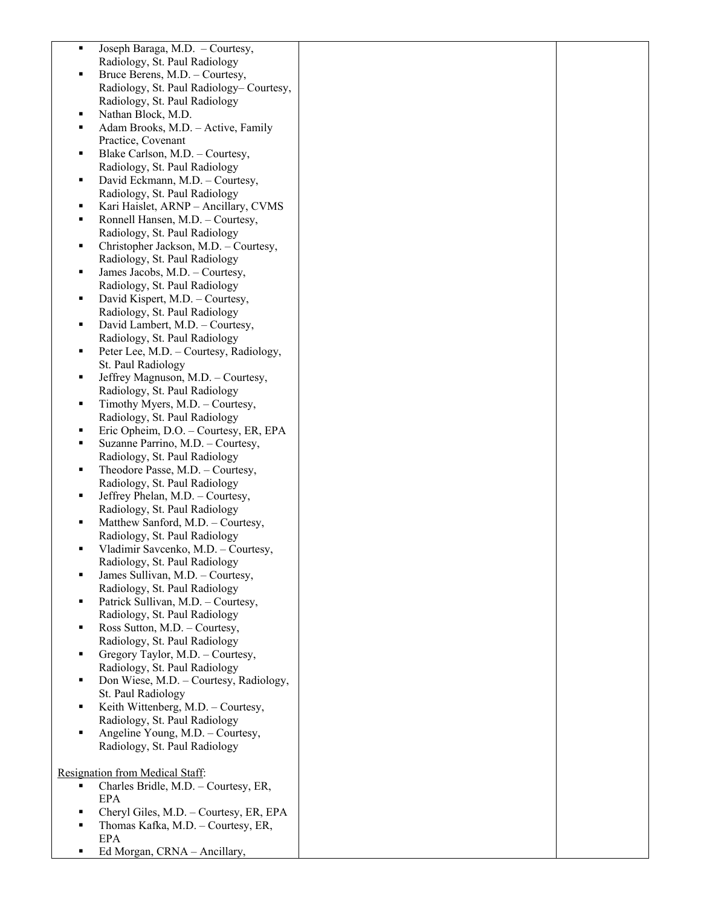| ٠ | Joseph Baraga, M.D. - Courtesy,         |  |
|---|-----------------------------------------|--|
|   |                                         |  |
|   | Radiology, St. Paul Radiology           |  |
|   | Bruce Berens, M.D. - Courtesy,          |  |
|   | Radiology, St. Paul Radiology-Courtesy, |  |
|   | Radiology, St. Paul Radiology           |  |
| ٠ | Nathan Block, M.D.                      |  |
| ٠ | Adam Brooks, M.D. - Active, Family      |  |
|   | Practice, Covenant                      |  |
| ٠ | Blake Carlson, M.D. - Courtesy,         |  |
|   | Radiology, St. Paul Radiology           |  |
| ٠ | David Eckmann, M.D. - Courtesy,         |  |
|   | Radiology, St. Paul Radiology           |  |
|   |                                         |  |
| п | Kari Haislet, ARNP - Ancillary, CVMS    |  |
| ٠ | Ronnell Hansen, M.D. - Courtesy,        |  |
|   | Radiology, St. Paul Radiology           |  |
| ٠ | Christopher Jackson, M.D. - Courtesy,   |  |
|   | Radiology, St. Paul Radiology           |  |
| ٠ | James Jacobs, M.D. - Courtesy,          |  |
|   | Radiology, St. Paul Radiology           |  |
| ٠ | David Kispert, M.D. - Courtesy,         |  |
|   | Radiology, St. Paul Radiology           |  |
| ٠ | David Lambert, M.D. - Courtesy,         |  |
|   | Radiology, St. Paul Radiology           |  |
| ٠ | Peter Lee, M.D. - Courtesy, Radiology,  |  |
|   | St. Paul Radiology                      |  |
| ٠ | Jeffrey Magnuson, M.D. - Courtesy,      |  |
|   | Radiology, St. Paul Radiology           |  |
| ٠ | Timothy Myers, M.D. - Courtesy,         |  |
|   | Radiology, St. Paul Radiology           |  |
| ٠ | Eric Opheim, D.O. - Courtesy, ER, EPA   |  |
| ٠ | Suzanne Parrino, M.D. - Courtesy,       |  |
|   | Radiology, St. Paul Radiology           |  |
|   |                                         |  |
| ٠ | Theodore Passe, M.D. - Courtesy,        |  |
|   | Radiology, St. Paul Radiology           |  |
| ٠ | Jeffrey Phelan, M.D. - Courtesy,        |  |
|   | Radiology, St. Paul Radiology           |  |
| ٠ | Matthew Sanford, M.D. - Courtesy,       |  |
|   | Radiology, St. Paul Radiology           |  |
| ٠ | Vladimir Savcenko, M.D. - Courtesy,     |  |
|   | Radiology, St. Paul Radiology           |  |
|   | James Sullivan, M.D. - Courtesy,        |  |
|   | Radiology, St. Paul Radiology           |  |
| ٠ | Patrick Sullivan, M.D. - Courtesy,      |  |
|   | Radiology, St. Paul Radiology           |  |
| ٠ | Ross Sutton, M.D. - Courtesy,           |  |
|   | Radiology, St. Paul Radiology           |  |
| ٠ | Gregory Taylor, M.D. - Courtesy,        |  |
|   | Radiology, St. Paul Radiology           |  |
| ٠ | Don Wiese, M.D. - Courtesy, Radiology,  |  |
|   | St. Paul Radiology                      |  |
| ٠ | Keith Wittenberg, M.D. - Courtesy,      |  |
|   | Radiology, St. Paul Radiology           |  |
| ٠ | Angeline Young, M.D. - Courtesy,        |  |
|   | Radiology, St. Paul Radiology           |  |
|   |                                         |  |
|   | Resignation from Medical Staff:         |  |
| ٠ | Charles Bridle, M.D. - Courtesy, ER,    |  |
|   | <b>EPA</b>                              |  |
| ٠ | Cheryl Giles, M.D. - Courtesy, ER, EPA  |  |
|   | Thomas Kafka, M.D. - Courtesy, ER,      |  |
|   | <b>EPA</b>                              |  |
| ٠ | Ed Morgan, CRNA - Ancillary,            |  |